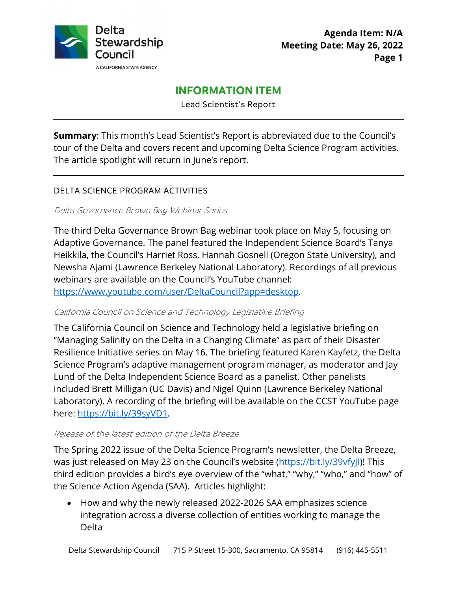

# **INFORMATION ITEM**

Lead Scientist's Report

**Summary**: This month's Lead Scientist's Report is abbreviated due to the Council's tour of the Delta and covers recent and upcoming Delta Science Program activities. The article spotlight will return in June's report.

## DELTA SCIENCE PROGRAM ACTIVITIES

Delta Governance Brown Bag Webinar Series

The third Delta Governance Brown Bag webinar took place on May 5, focusing on Adaptive Governance. The panel featured the Independent Science Board's Tanya Heikkila, the Council's Harriet Ross, Hannah Gosnell (Oregon State University), and Newsha Ajami (Lawrence Berkeley National Laboratory). Recordings of all previous webinars are available on the Council's YouTube channel:

[https://www.youtube.com/user/DeltaCouncil?app=desktop.](https://www.youtube.com/user/DeltaCouncil?app=desktop)

#### California Council on Science and Technology Legislative Briefing

The California Council on Science and Technology held a legislative briefing on "Managing Salinity on the Delta in a Changing Climate" as part of their Disaster Resilience Initiative series on May 16. The briefing featured Karen Kayfetz, the Delta Science Program's adaptive management program manager, as moderator and Jay Lund of the Delta Independent Science Board as a panelist. Other panelists included Brett Milligan (UC Davis) and Nigel Quinn (Lawrence Berkeley National Laboratory). A recording of the briefing will be available on the CCST YouTube page here: [https://bit.ly/39syVD1.](https://bit.ly/39syVD1)

#### Release of the latest edition of the Delta Breeze

The Spring 2022 issue of the Delta Science Program's newsletter, the Delta Breeze, was just released on May 23 on the Council's website (https://bit.ly/39vfyll)! This third edition provides a bird's eye overview of the "what," "why," "who," and "how" of the Science Action Agenda (SAA). Articles highlight:

• How and why the newly released 2022-2026 SAA emphasizes science integration across a diverse collection of entities working to manage the Delta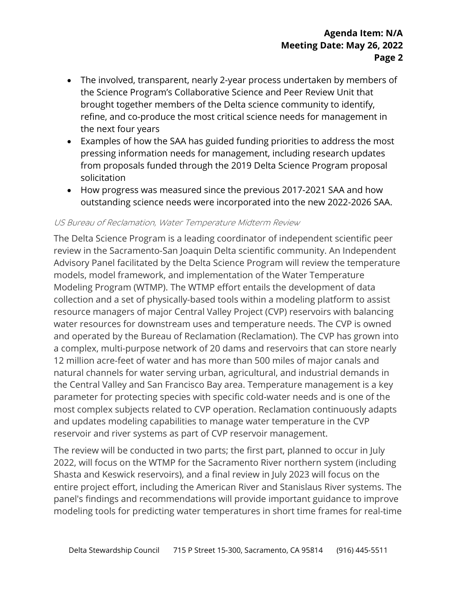- The involved, transparent, nearly 2-year process undertaken by members of the Science Program's Collaborative Science and Peer Review Unit that brought together members of the Delta science community to identify, refine, and co-produce the most critical science needs for management in the next four years
- Examples of how the SAA has guided funding priorities to address the most pressing information needs for management, including research updates from proposals funded through the 2019 Delta Science Program proposal solicitation
- How progress was measured since the previous 2017-2021 SAA and how outstanding science needs were incorporated into the new 2022-2026 SAA.

#### US Bureau of Reclamation, Water Temperature Midterm Review

The Delta Science Program is a leading coordinator of independent scientific peer review in the Sacramento-San Joaquin Delta scientific community. An Independent Advisory Panel facilitated by the Delta Science Program will review the temperature models, model framework, and implementation of the Water Temperature Modeling Program (WTMP). The WTMP effort entails the development of data collection and a set of physically-based tools within a modeling platform to assist resource managers of major Central Valley Project (CVP) reservoirs with balancing water resources for downstream uses and temperature needs. The CVP is owned and operated by the Bureau of Reclamation (Reclamation). The CVP has grown into a complex, multi-purpose network of 20 dams and reservoirs that can store nearly 12 million acre-feet of water and has more than 500 miles of major canals and natural channels for water serving urban, agricultural, and industrial demands in the Central Valley and San Francisco Bay area. Temperature management is a key parameter for protecting species with specific cold-water needs and is one of the most complex subjects related to CVP operation. Reclamation continuously adapts and updates modeling capabilities to manage water temperature in the CVP reservoir and river systems as part of CVP reservoir management.

The review will be conducted in two parts; the first part, planned to occur in July 2022, will focus on the WTMP for the Sacramento River northern system (including Shasta and Keswick reservoirs), and a final review in July 2023 will focus on the entire project effort, including the American River and Stanislaus River systems. The panel's findings and recommendations will provide important guidance to improve modeling tools for predicting water temperatures in short time frames for real-time